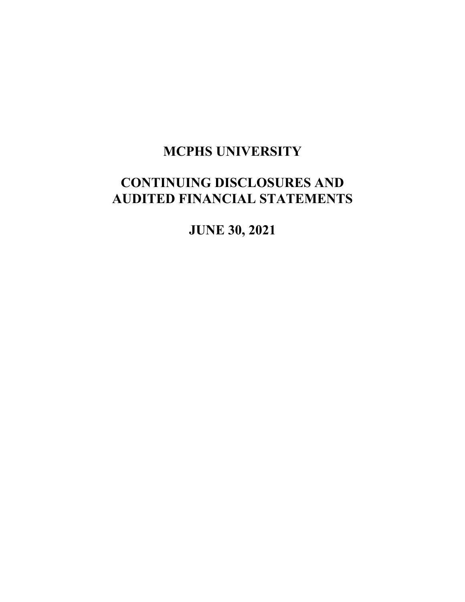

MASSACHUSETTS COLLEGE of PHARMACY<br>and HEALTH SCIENCES

# **MCPHS UNIVERSITY**

# **CONTINUING DISCLOSURES AND AUDITED FINANCIAL STATEMENTS**

**JUNE 30, 2021**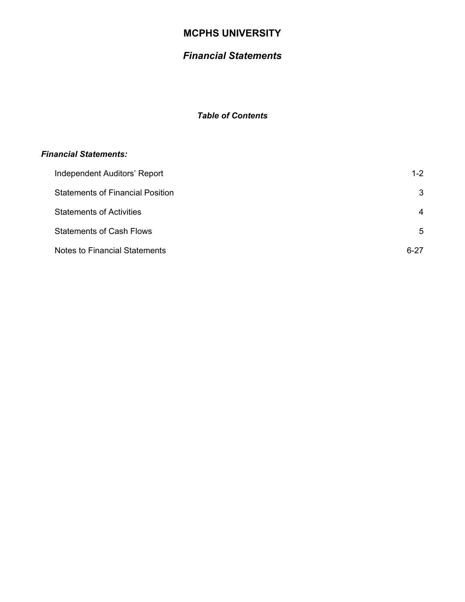# *Financial Statements*

### *Table of Contents*

#### *Financial Statements:*

| Independent Auditors' Report            | $1 - 2$  |
|-----------------------------------------|----------|
| <b>Statements of Financial Position</b> | 3        |
| <b>Statements of Activities</b>         | 4        |
| <b>Statements of Cash Flows</b>         | 5        |
| <b>Notes to Financial Statements</b>    | $6 - 27$ |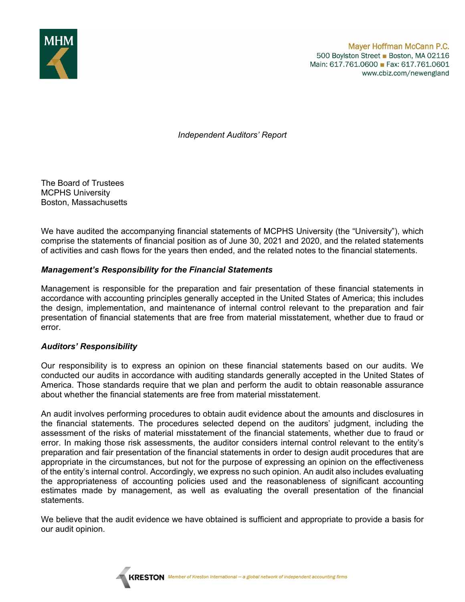

*Independent Auditors' Report* 

The Board of Trustees MCPHS University Boston, Massachusetts

We have audited the accompanying financial statements of MCPHS University (the "University"), which comprise the statements of financial position as of June 30, 2021 and 2020, and the related statements of activities and cash flows for the years then ended, and the related notes to the financial statements.

#### *Management's Responsibility for the Financial Statements*

Management is responsible for the preparation and fair presentation of these financial statements in accordance with accounting principles generally accepted in the United States of America; this includes the design, implementation, and maintenance of internal control relevant to the preparation and fair presentation of financial statements that are free from material misstatement, whether due to fraud or error.

#### *Auditors' Responsibility*

Our responsibility is to express an opinion on these financial statements based on our audits. We conducted our audits in accordance with auditing standards generally accepted in the United States of America. Those standards require that we plan and perform the audit to obtain reasonable assurance about whether the financial statements are free from material misstatement.

An audit involves performing procedures to obtain audit evidence about the amounts and disclosures in the financial statements. The procedures selected depend on the auditors' judgment, including the assessment of the risks of material misstatement of the financial statements, whether due to fraud or error. In making those risk assessments, the auditor considers internal control relevant to the entity's preparation and fair presentation of the financial statements in order to design audit procedures that are appropriate in the circumstances, but not for the purpose of expressing an opinion on the effectiveness of the entity's internal control. Accordingly, we express no such opinion. An audit also includes evaluating the appropriateness of accounting policies used and the reasonableness of significant accounting estimates made by management, as well as evaluating the overall presentation of the financial statements.

We believe that the audit evidence we have obtained is sufficient and appropriate to provide a basis for our audit opinion.

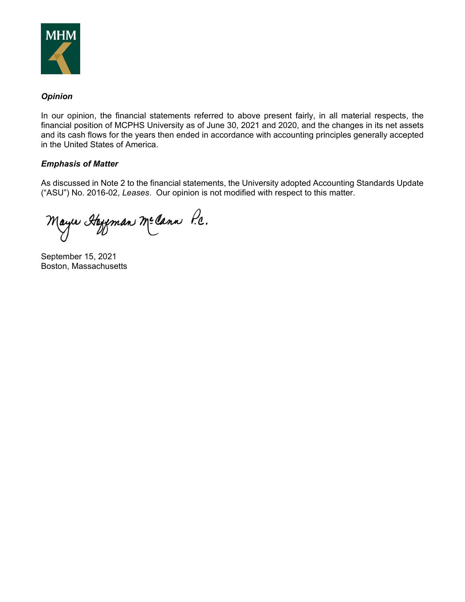

#### *Opinion*

In our opinion, the financial statements referred to above present fairly, in all material respects, the financial position of MCPHS University as of June 30, 2021 and 2020, and the changes in its net assets and its cash flows for the years then ended in accordance with accounting principles generally accepted in the United States of America.

#### *Emphasis of Matter*

As discussed in Note 2 to the financial statements, the University adopted Accounting Standards Update ("ASU") No. 2016-02, *Leases*. Our opinion is not modified with respect to this matter.

Mayır Hayman Mecann P.c.

September 15, 2021 Boston, Massachusetts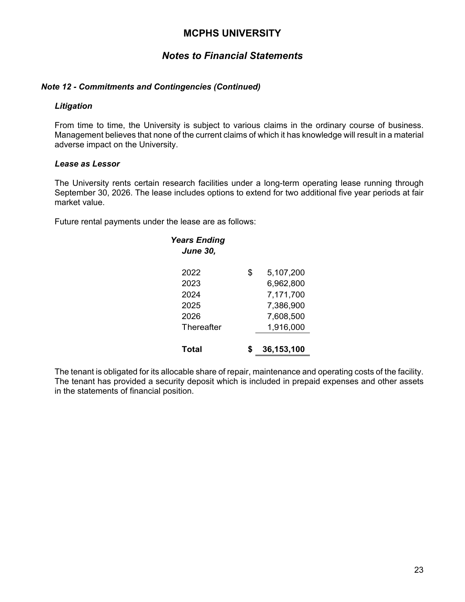### *Notes to Financial Statements*

#### *Note 12 - Commitments and Contingencies (Continued)*

#### *Litigation*

From time to time, the University is subject to various claims in the ordinary course of business. Management believes that none of the current claims of which it has knowledge will result in a material adverse impact on the University.

#### *Lease as Lessor*

The University rents certain research facilities under a long-term operating lease running through September 30, 2026. The lease includes options to extend for two additional five year periods at fair market value.

Future rental payments under the lease are as follows:

| <b>Years Ending</b><br><b>June 30,</b> |                 |
|----------------------------------------|-----------------|
| 2022                                   | \$<br>5,107,200 |
| 2023                                   | 6,962,800       |
| 2024                                   | 7,171,700       |
| 2025                                   | 7,386,900       |
| 2026                                   | 7,608,500       |
| Thereafter                             | 1,916,000       |
| Total                                  | 36,153,100      |

The tenant is obligated for its allocable share of repair, maintenance and operating costs of the facility. The tenant has provided a security deposit which is included in prepaid expenses and other assets in the statements of financial position.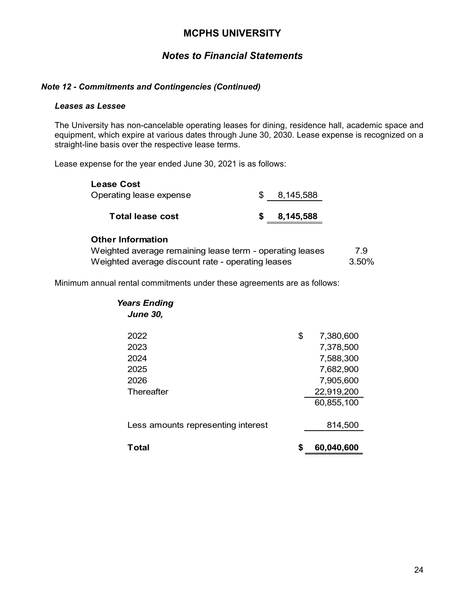# *Notes to Financial Statements*

#### *Note 12 - Commitments and Contingencies (Continued)*

#### *Leases as Lessee*

The University has non-cancelable operating leases for dining, residence hall, academic space and equipment, which expire at various dates through June 30, 2030. Lease expense is recognized on a straight-line basis over the respective lease terms.

Lease expense for the year ended June 30, 2021 is as follows:

| 8,145,588 |
|-----------|
| 8,145,588 |
|           |

#### **Other Information**

| Weighted average remaining lease term - operating leases | 7.9   |
|----------------------------------------------------------|-------|
| Weighted average discount rate - operating leases        | 3.50% |

Minimum annual rental commitments under these agreements are as follows:

| <b>Years Ending</b>                |    |            |
|------------------------------------|----|------------|
| <b>June 30,</b>                    |    |            |
|                                    |    |            |
| 2022                               | \$ | 7,380,600  |
| 2023                               |    | 7,378,500  |
| 2024                               |    | 7,588,300  |
| 2025                               |    | 7,682,900  |
| 2026                               |    | 7,905,600  |
| Thereafter                         |    | 22,919,200 |
|                                    |    | 60,855,100 |
|                                    |    |            |
| Less amounts representing interest |    | 814,500    |
|                                    |    |            |
| Total                              | S  | 60,040,600 |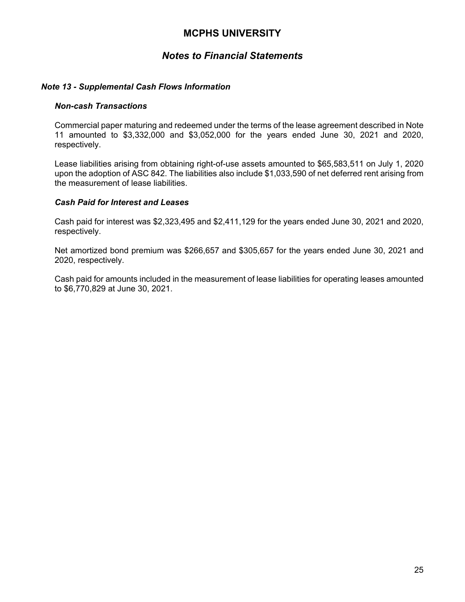### *Notes to Financial Statements*

#### *Note 13 - Supplemental Cash Flows Information*

#### *Non-cash Transactions*

Commercial paper maturing and redeemed under the terms of the lease agreement described in Note 11 amounted to \$3,332,000 and \$3,052,000 for the years ended June 30, 2021 and 2020, respectively.

Lease liabilities arising from obtaining right-of-use assets amounted to \$65,583,511 on July 1, 2020 upon the adoption of ASC 842. The liabilities also include \$1,033,590 of net deferred rent arising from the measurement of lease liabilities.

#### *Cash Paid for Interest and Leases*

Cash paid for interest was \$2,323,495 and \$2,411,129 for the years ended June 30, 2021 and 2020, respectively.

Net amortized bond premium was \$266,657 and \$305,657 for the years ended June 30, 2021 and 2020, respectively.

Cash paid for amounts included in the measurement of lease liabilities for operating leases amounted to \$6,770,829 at June 30, 2021.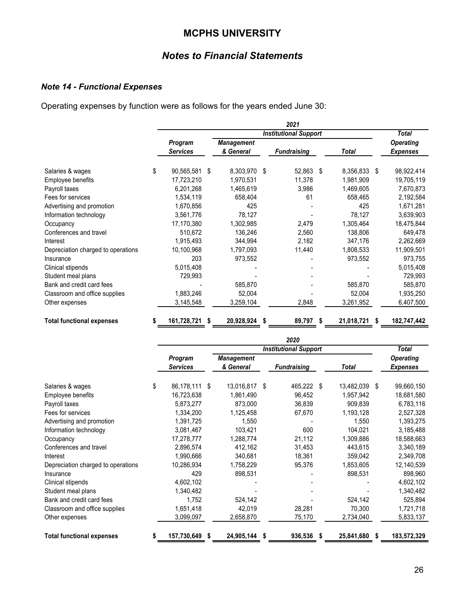# *Notes to Financial Statements*

# *Note 14 - Functional Expenses*

Operating expenses by function were as follows for the years ended June 30:

|                                    |                              |    |                                |     | 2021               |      |            |       |                                     |
|------------------------------------|------------------------------|----|--------------------------------|-----|--------------------|------|------------|-------|-------------------------------------|
|                                    | <b>Institutional Support</b> |    |                                |     |                    |      |            | Total |                                     |
|                                    | Program<br><b>Services</b>   |    | <b>Management</b><br>& General |     | <b>Fundraising</b> |      | Total      |       | <b>Operating</b><br><b>Expenses</b> |
|                                    |                              |    |                                |     |                    |      |            |       |                                     |
| Salaries & wages                   | \$<br>90,565,581             | \$ | 8,303,970 \$                   |     | 52,863 \$          |      | 8,356,833  | \$    | 98,922,414                          |
| Employee benefits                  | 17,723,210                   |    | 1,970,531                      |     | 11,378             |      | 1,981,909  |       | 19,705,119                          |
| Payroll taxes                      | 6,201,268                    |    | 1,465,619                      |     | 3,986              |      | 1,469,605  |       | 7,670,873                           |
| Fees for services                  | 1,534,119                    |    | 658,404                        |     | 61                 |      | 658,465    |       | 2,192,584                           |
| Advertising and promotion          | 1,670,856                    |    | 425                            |     |                    |      | 425        |       | 1,671,281                           |
| Information technology             | 3,561,776                    |    | 78,127                         |     |                    |      | 78,127     |       | 3,639,903                           |
| Occupancy                          | 17,170,380                   |    | 1,302,985                      |     | 2,479              |      | 1,305,464  |       | 18,475,844                          |
| Conferences and travel             | 510,672                      |    | 136,246                        |     | 2,560              |      | 138,806    |       | 649,478                             |
| Interest                           | 1,915,493                    |    | 344,994                        |     | 2,182              |      | 347,176    |       | 2,262,669                           |
| Depreciation charged to operations | 10,100,968                   |    | 1,797,093                      |     | 11,440             |      | 1,808,533  |       | 11,909,501                          |
| Insurance                          | 203                          |    | 973,552                        |     |                    |      | 973,552    |       | 973,755                             |
| Clinical stipends                  | 5,015,408                    |    |                                |     |                    |      |            |       | 5,015,408                           |
| Student meal plans                 | 729,993                      |    |                                |     |                    |      |            |       | 729,993                             |
| Bank and credit card fees          |                              |    | 585,870                        |     |                    |      | 585,870    |       | 585,870                             |
| Classroom and office supplies      | 1,883,246                    |    | 52,004                         |     |                    |      | 52,004     |       | 1,935,250                           |
| Other expenses                     | 3,145,548                    |    | 3,259,104                      |     | 2,848              |      | 3,261,952  |       | 6,407,500                           |
| <b>Total functional expenses</b>   | \$<br>161,728,721            | \$ | 20,928,924                     | - 5 | 89,797             | - \$ | 21,018,721 | S     | 182,747,442                         |

|                                    |                              |    |                                |    | 2020               |      |              |    |                                     |
|------------------------------------|------------------------------|----|--------------------------------|----|--------------------|------|--------------|----|-------------------------------------|
|                                    | <b>Institutional Support</b> |    |                                |    |                    |      |              |    | <b>Total</b>                        |
|                                    | Program<br><b>Services</b>   |    | <b>Management</b><br>& General |    | <b>Fundraising</b> |      | <b>Total</b> |    | <b>Operating</b><br><b>Expenses</b> |
| Salaries & wages                   | \$<br>86,178,111             | \$ | 13,016,817                     | \$ | 465,222 \$         |      | 13,482,039   | \$ | 99,660,150                          |
| Employee benefits                  | 16,723,638                   |    | 1,861,490                      |    | 96,452             |      | 1,957,942    |    | 18,681,580                          |
| Payroll taxes                      | 5,873,277                    |    | 873,000                        |    | 36,839             |      | 909,839      |    | 6,783,116                           |
| Fees for services                  | 1,334,200                    |    | 1,125,458                      |    | 67,670             |      | 1,193,128    |    | 2,527,328                           |
| Advertising and promotion          | 1,391,725                    |    | 1,550                          |    |                    |      | 1,550        |    | 1,393,275                           |
| Information technology             | 3,081,467                    |    | 103,421                        |    | 600                |      | 104,021      |    | 3,185,488                           |
| Occupancy                          | 17,278,777                   |    | 1,288,774                      |    | 21,112             |      | 1,309,886    |    | 18,588,663                          |
| Conferences and travel             | 2,896,574                    |    | 412,162                        |    | 31,453             |      | 443,615      |    | 3,340,189                           |
| Interest                           | 1,990,666                    |    | 340,681                        |    | 18,361             |      | 359,042      |    | 2,349,708                           |
| Depreciation charged to operations | 10,286,934                   |    | 1,758,229                      |    | 95,376             |      | 1,853,605    |    | 12,140,539                          |
| Insurance                          | 429                          |    | 898,531                        |    |                    |      | 898,531      |    | 898,960                             |
| Clinical stipends                  | 4,602,102                    |    |                                |    |                    |      |              |    | 4,602,102                           |
| Student meal plans                 | 1,340,482                    |    |                                |    |                    |      |              |    | 1,340,482                           |
| Bank and credit card fees          | 1,752                        |    | 524,142                        |    |                    |      | 524,142      |    | 525,894                             |
| Classroom and office supplies      | 1,651,418                    |    | 42,019                         |    | 28,281             |      | 70,300       |    | 1,721,718                           |
| Other expenses                     | 3,099,097                    |    | 2,658,870                      |    | 75,170             |      | 2,734,040    |    | 5,833,137                           |
| <b>Total functional expenses</b>   | 157,730,649                  | S  | 24,905,144                     | 5  | 936,536            | - \$ | 25,841,680   | S  | 183,572,329                         |